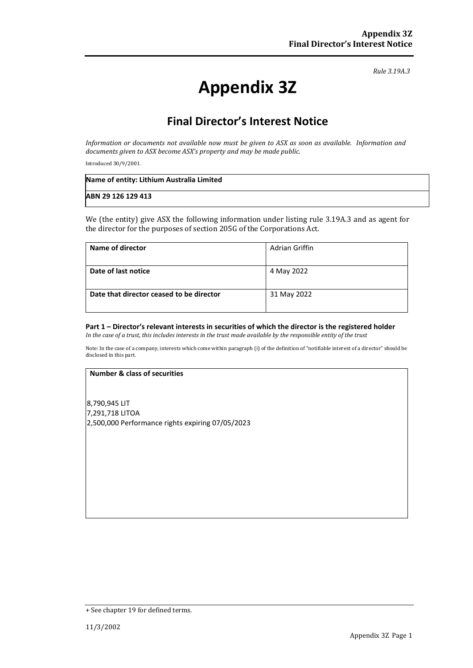*Rule 3.19A.3*

# **Appendix 3Z**

# **Final Director's Interest Notice**

*Information or documents not available now must be given to ASX as soon as available. Information and documents given to ASX become ASX's property and may be made public.*

Introduced 30/9/2001.

| Name of entity: Lithium Australia Limited |  |
|-------------------------------------------|--|
| ABN 29 126 129 413                        |  |

We (the entity) give ASX the following information under listing rule 3.19A.3 and as agent for the director for the purposes of section 205G of the Corporations Act.

| Name of director                         | Adrian Griffin |
|------------------------------------------|----------------|
| Date of last notice                      | 4 May 2022     |
| Date that director ceased to be director | 31 May 2022    |

## **Part 1 – Director's relevant interests in securities of which the director is the registered holder**

*In the case of a trust, this includes interests in the trust made available by the responsible entity of the trust*

Note: In the case of a company, interests which come within paragraph (i) of the definition of "notifiable interest of a director" should be disclosed in this part.

#### **Number & class of securities**

8,790,945 LIT 7,291,718 LITOA 2,500,000 Performance rights expiring 07/05/2023

<sup>+</sup> See chapter 19 for defined terms.